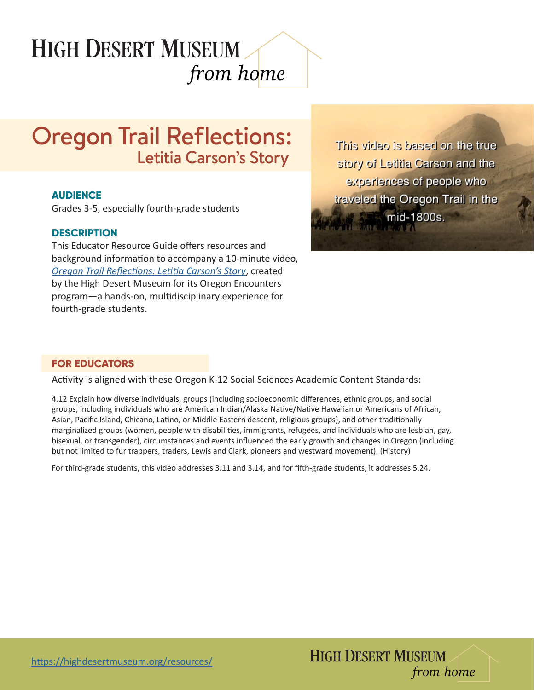# **HIGH DESERT MUSEUM** *from home*

# Oregon Trail Reflections: Letitia Carson's Story

#### **AUDIENCE**

Grades 3-5, especially fourth-grade students

## **DESCRIPTION**

This Educator Resource Guide offers resources and background information to accompany a 10-minute video, *[Oregon Trail Reflections: Letitia Carson's Story](https://www.youtube.com/watch?v=zhsF_H1SKfI&feature=youtu.be)*, created by the High Desert Museum for its Oregon Encounters program—a hands-on, multidisciplinary experience for fourth-grade students.

This video is based on the true story of Letitia Carson and the experiences of people who traveled the Oregon Trail in the mid-1800s.

## **FOR EDUCATORS**

Activity is aligned with these Oregon K-12 Social Sciences Academic Content Standards:

4.12 Explain how diverse individuals, groups (including socioeconomic differences, ethnic groups, and social groups, including individuals who are American Indian/Alaska Native/Native Hawaiian or Americans of African, Asian, Pacific Island, Chicano, Latino, or Middle Eastern descent, religious groups), and other traditionally marginalized groups (women, people with disabilities, immigrants, refugees, and individuals who are lesbian, gay, bisexual, or transgender), circumstances and events influenced the early growth and changes in Oregon (including but not limited to fur trappers, traders, Lewis and Clark, pioneers and westward movement). (History)

For third-grade students, this video addresses 3.11 and 3.14, and for fifth-grade students, it addresses 5.24.